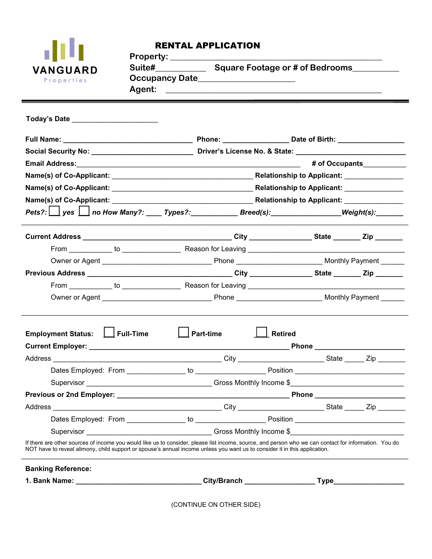

## RENTAL APPLICATION

| <b>Property:</b>      |                                 |
|-----------------------|---------------------------------|
| Suite#                | Square Footage or # of Bedrooms |
| <b>Occupancy Date</b> |                                 |
| Agent:                |                                 |
|                       |                                 |

| .             |                                 |
|---------------|---------------------------------|
| <b>Suite#</b> | Square Footage or # of Bedrooms |

| oqual e Footage or # or De |  |  |  |  |  |
|----------------------------|--|--|--|--|--|
|                            |  |  |  |  |  |

| Today's Date ____________________________                                                                                                                                                                                                                                           |                  |                               |  |  |  |
|-------------------------------------------------------------------------------------------------------------------------------------------------------------------------------------------------------------------------------------------------------------------------------------|------------------|-------------------------------|--|--|--|
|                                                                                                                                                                                                                                                                                     |                  |                               |  |  |  |
|                                                                                                                                                                                                                                                                                     |                  |                               |  |  |  |
|                                                                                                                                                                                                                                                                                     |                  |                               |  |  |  |
|                                                                                                                                                                                                                                                                                     |                  |                               |  |  |  |
|                                                                                                                                                                                                                                                                                     |                  |                               |  |  |  |
|                                                                                                                                                                                                                                                                                     |                  |                               |  |  |  |
| $Pets? : \bigsqcup$ yes $\bigsqcup$ no How Many?: _____ Types?: _____________Breed(s): ___________________Weight(s): _______                                                                                                                                                        |                  |                               |  |  |  |
|                                                                                                                                                                                                                                                                                     |                  |                               |  |  |  |
|                                                                                                                                                                                                                                                                                     |                  |                               |  |  |  |
|                                                                                                                                                                                                                                                                                     |                  |                               |  |  |  |
|                                                                                                                                                                                                                                                                                     |                  |                               |  |  |  |
|                                                                                                                                                                                                                                                                                     |                  |                               |  |  |  |
|                                                                                                                                                                                                                                                                                     |                  |                               |  |  |  |
| Employment Status: Let Full-Time                                                                                                                                                                                                                                                    | $\Box$ Part-time | $\boxed{\phantom{a}}$ Retired |  |  |  |
|                                                                                                                                                                                                                                                                                     |                  |                               |  |  |  |
|                                                                                                                                                                                                                                                                                     |                  |                               |  |  |  |
|                                                                                                                                                                                                                                                                                     |                  |                               |  |  |  |
|                                                                                                                                                                                                                                                                                     |                  |                               |  |  |  |
|                                                                                                                                                                                                                                                                                     |                  |                               |  |  |  |
|                                                                                                                                                                                                                                                                                     |                  |                               |  |  |  |
|                                                                                                                                                                                                                                                                                     |                  |                               |  |  |  |
| If there are other sources of income you would like us to consider, please list income, source, and person who we can contact for information. You do<br>NOT have to reveal alimony, child support or spouse's annual income unless you want us to consider it in this application. |                  |                               |  |  |  |
| <b>Banking Reference:</b>                                                                                                                                                                                                                                                           |                  |                               |  |  |  |
|                                                                                                                                                                                                                                                                                     |                  |                               |  |  |  |

(CONTINUE ON OTHER SIDE)